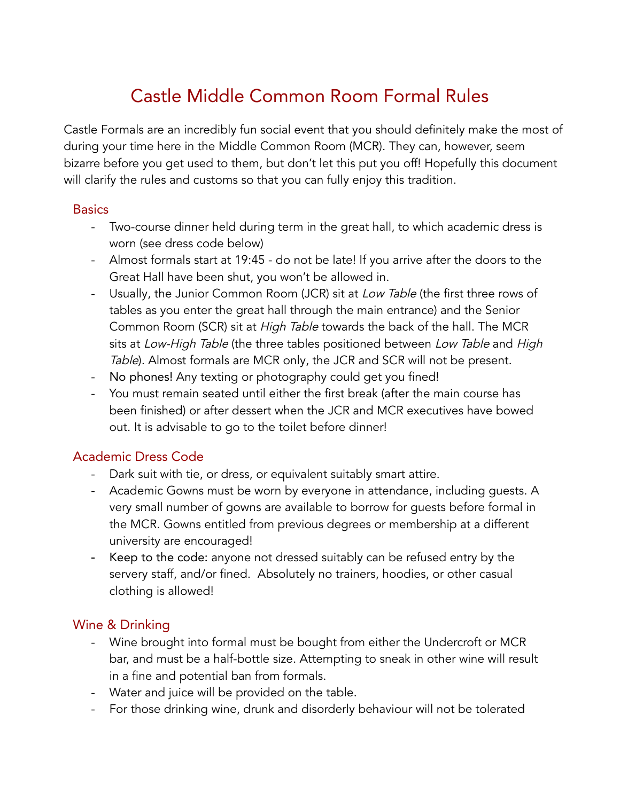# Castle Middle Common Room Formal Rules

Castle Formals are an incredibly fun social event that you should definitely make the most of during your time here in the Middle Common Room (MCR). They can, however, seem bizarre before you get used to them, but don't let this put you off! Hopefully this document will clarify the rules and customs so that you can fully enjoy this tradition.

#### **Basics**

- Two-course dinner held during term in the great hall, to which academic dress is worn (see dress code below)
- Almost formals start at 19:45 do not be late! If you arrive after the doors to the Great Hall have been shut, you won't be allowed in.
- Usually, the Junior Common Room (JCR) sit at Low Table (the first three rows of tables as you enter the great hall through the main entrance) and the Senior Common Room (SCR) sit at High Table towards the back of the hall. The MCR sits at Low-High Table (the three tables positioned between Low Table and High Table). Almost formals are MCR only, the JCR and SCR will not be present.
- No phones! Any texting or photography could get you fined!
- You must remain seated until either the first break (after the main course has been finished) or after dessert when the JCR and MCR executives have bowed out. It is advisable to go to the toilet before dinner!

### Academic Dress Code

- Dark suit with tie, or dress, or equivalent suitably smart attire.
- Academic Gowns must be worn by everyone in attendance, including guests. A very small number of gowns are available to borrow for guests before formal in the MCR. Gowns entitled from previous degrees or membership at a different university are encouraged!
- Keep to the code: anyone not dressed suitably can be refused entry by the servery staff, and/or fined. Absolutely no trainers, hoodies, or other casual clothing is allowed!

### Wine & Drinking

- Wine brought into formal must be bought from either the Undercroft or MCR bar, and must be a half-bottle size. Attempting to sneak in other wine will result in a fine and potential ban from formals.
- Water and juice will be provided on the table.
- For those drinking wine, drunk and disorderly behaviour will not be tolerated